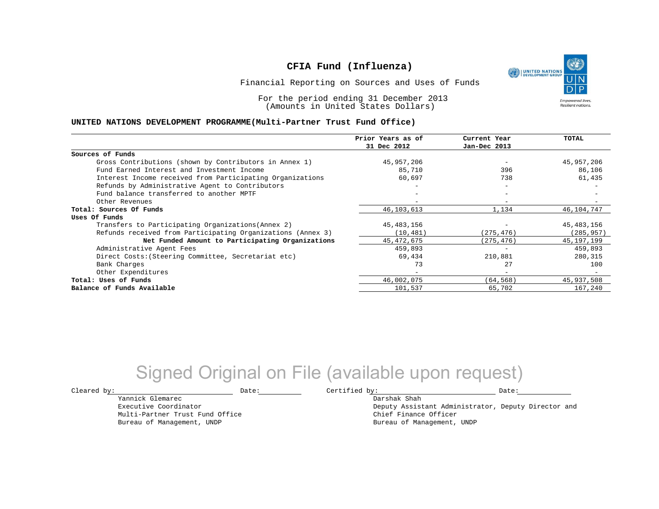UNITED NATIONS **Empowered lives Resilient nations.** 

Financial Reporting on Sources and Uses of Funds

For the period ending 31 December 2013 (Amounts in United States Dollars)

#### **UNITED NATIONS DEVELOPMENT PROGRAMME(Multi-Partner Trust Fund Office)**

|                                                             | Prior Years as of        | Current Year             | TOTAL        |
|-------------------------------------------------------------|--------------------------|--------------------------|--------------|
|                                                             | 31 Dec 2012              | Jan-Dec 2013             |              |
| Sources of Funds                                            |                          |                          |              |
| Gross Contributions (shown by Contributors in Annex 1)      | 45,957,206               |                          | 45,957,206   |
| Fund Earned Interest and Investment Income                  | 85,710                   | 396                      | 86,106       |
| Interest Income received from Participating Organizations   | 60,697                   | 738                      | 61,435       |
| Refunds by Administrative Agent to Contributors             |                          |                          |              |
| Fund balance transferred to another MPTF                    |                          | $\overline{\phantom{0}}$ |              |
| Other Revenues                                              |                          |                          |              |
| Total: Sources Of Funds                                     | 46,103,613               | 1,134                    | 46,104,747   |
| Uses Of Funds                                               |                          |                          |              |
| Transfers to Participating Organizations (Annex 2)          | 45,483,156               |                          | 45,483,156   |
| Refunds received from Participating Organizations (Annex 3) | (10, 481)                | (275, 476)               | (285, 957)   |
| Net Funded Amount to Participating Organizations            | 45, 472, 675             | (275, 476)               | 45, 197, 199 |
| Administrative Agent Fees                                   | 459,893                  |                          | 459,893      |
| Direct Costs: (Steering Committee, Secretariat etc)         | 69,434                   | 210,881                  | 280,315      |
| Bank Charges                                                | 73                       | 27                       | 100          |
| Other Expenditures                                          | $\overline{\phantom{0}}$ | $\overline{\phantom{0}}$ |              |
| Total: Uses of Funds                                        | 46,002,075               | (64, 568)                | 45,937,508   |
| Balance of Funds Available                                  | 101,537                  | 65,702                   | 167,240      |

# Signed Original on File (available upon request)

Yannick Glemarec Executive Coordinator Multi-Partner Trust Fund Office Bureau of Management, UNDP

 $\texttt{Cleared by:}\footnotesize \begin{minipage}{14pt} \begin{tabular}{p{0.87\textwidth}p{0.87\textwidth}} \centering \end{tabular} \end{minipage}$ 

Darshak Shah

Deputy Assistant Administrator, Deputy Director and Chief Finance Officer Bureau of Management, UNDP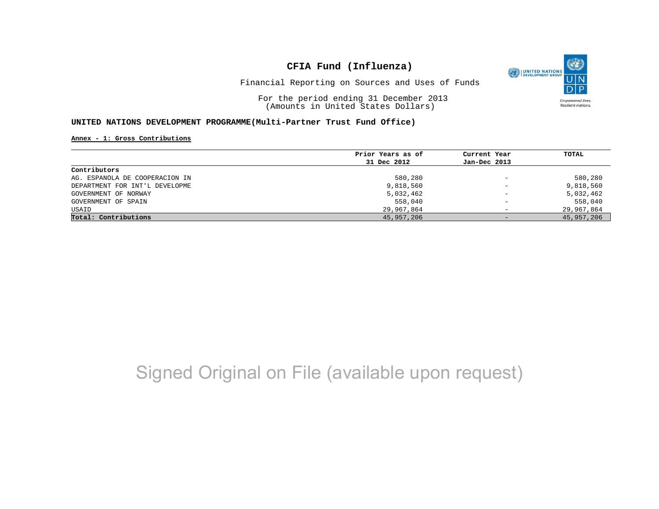

Financial Reporting on Sources and Uses of Funds

For the period ending 31 December 2013 (Amounts in United States Dollars)

### **UNITED NATIONS DEVELOPMENT PROGRAMME(Multi-Partner Trust Fund Office)**

#### **Annex - 1: Gross Contributions**

|                                | Prior Years as of | Current Year             | TOTAL      |
|--------------------------------|-------------------|--------------------------|------------|
|                                | 31 Dec 2012       | Jan-Dec 2013             |            |
| Contributors                   |                   |                          |            |
| AG. ESPANOLA DE COOPERACION IN | 580,280           | $\overline{\phantom{0}}$ | 580,280    |
| DEPARTMENT FOR INT'L DEVELOPME | 9,818,560         | $\overline{\phantom{0}}$ | 9,818,560  |
| GOVERNMENT OF NORWAY           | 5,032,462         | $\qquad \qquad -$        | 5,032,462  |
| GOVERNMENT OF SPAIN            | 558,040           | -                        | 558,040    |
| USAID                          | 29,967,864        | -                        | 29,967,864 |
| Total: Contributions           | 45,957,206        | $-$                      | 45,957,206 |

# Signed Original on File (available upon request)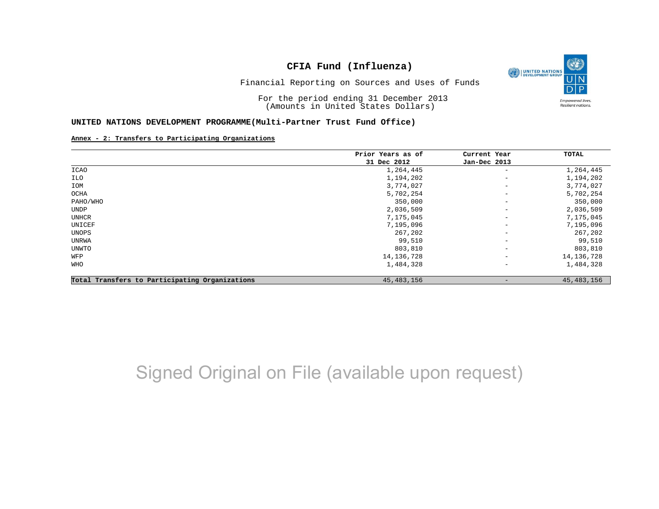

Financial Reporting on Sources and Uses of Funds

For the period ending 31 December 2013 (Amounts in United States Dollars)

#### **UNITED NATIONS DEVELOPMENT PROGRAMME(Multi-Partner Trust Fund Office)**

#### **Annex - 2: Transfers to Participating Organizations**

|                                                | Prior Years as of | Current Year             | TOTAL        |
|------------------------------------------------|-------------------|--------------------------|--------------|
|                                                | 31 Dec 2012       | Jan-Dec 2013             |              |
| <b>ICAO</b>                                    | 1,264,445         | $\overline{\phantom{m}}$ | 1,264,445    |
| ILO                                            | 1,194,202         | $\qquad \qquad -$        | 1,194,202    |
| IOM                                            | 3,774,027         | $\overline{\phantom{m}}$ | 3,774,027    |
| OCHA                                           | 5,702,254         | $\qquad \qquad -$        | 5,702,254    |
| PAHO/WHO                                       | 350,000           | $\qquad \qquad -$        | 350,000      |
| UNDP                                           | 2,036,509         | $\qquad \qquad -$        | 2,036,509    |
| UNHCR                                          | 7,175,045         | $\qquad \qquad -$        | 7,175,045    |
| UNICEF                                         | 7,195,096         | $\qquad \qquad -$        | 7,195,096    |
| UNOPS                                          | 267,202           | $\qquad \qquad -$        | 267,202      |
| UNRWA                                          | 99,510            | $\qquad \qquad -$        | 99,510       |
| UNWTO                                          | 803,810           | $\overline{\phantom{a}}$ | 803,810      |
| WFP                                            | 14, 136, 728      | $\qquad \qquad -$        | 14, 136, 728 |
| WHO                                            | 1,484,328         | $\overline{\phantom{a}}$ | 1,484,328    |
| Total Transfers to Participating Organizations | 45, 483, 156      | $\qquad \qquad$          | 45, 483, 156 |

# Signed Original on File (available upon request)